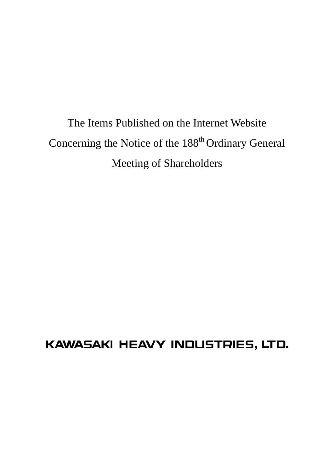The Items Published on the Internet Website Concerning the Notice of the 188<sup>th</sup> Ordinary General Meeting of Shareholders

# KAWASAKI HEAVY INDUSTRIES, LTD.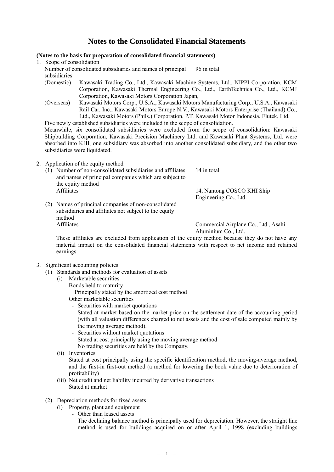# **Notes to the Consolidated Financial Statements**

# **(Notes to the basis for preparation of consolidated financial statements)**

1. Scope of consolidation

Number of consolidated subsidiaries and names of principal subsidiaries 96 in total

- (Domestic) Kawasaki Trading Co., Ltd., Kawasaki Machine Systems, Ltd., NIPPI Corporation, KCM Corporation, Kawasaki Thermal Engineering Co., Ltd., EarthTechnica Co., Ltd., KCMJ Corporation, Kawasaki Motors Corporation Japan,
- (Overseas) Kawasaki Motors Corp., U.S.A., Kawasaki Motors Manufacturing Corp., U.S.A., Kawasaki Rail Car, Inc., Kawasaki Motors Europe N.V., Kawasaki Motors Enterprise (Thailand) Co., Ltd., Kawasaki Motors (Phils.) Corporation, P.T. Kawasaki Motor Indonesia, Flutek, Ltd.

Five newly established subsidiaries were included in the scope of consolidation.

Meanwhile, six consolidated subsidiaries were excluded from the scope of consolidation: Kawasaki Shipbuilding Corporation, Kawasaki Precision Machinery Ltd. and Kawasaki Plant Systems, Ltd. were absorbed into KHI, one subsidiary was absorbed into another consolidated subsidiary, and the other two subsidiaries were liquidated.

- 2. Application of the equity method
	- (1) Number of non-consolidated subsidiaries and affiliates and names of principal companies which are subject to the equity method 14 in total Affiliates 14, Nantong COSCO KHI Ship Engineering Co., Ltd.
	- (2) Names of principal companies of non-consolidated subsidiaries and affiliates not subject to the equity method Affiliates Commercial Airplane Co., Ltd., Asahi

Aluminium Co., Ltd.

These affiliates are excluded from application of the equity method because they do not have any material impact on the consolidated financial statements with respect to net income and retained earnings.

- 3. Significant accounting policies
	- (1) Standards and methods for evaluation of assets
		- (i) Marketable securities Bonds held to maturity

Principally stated by the amortized cost method

Other marketable securities

- Securities with market quotations

Stated at market based on the market price on the settlement date of the accounting period (with all valuation differences charged to net assets and the cost of sale computed mainly by the moving average method).

- Securities without market quotations Stated at cost principally using the moving average method No trading securities are held by the Company.
- (ii) Inventories

Stated at cost principally using the specific identification method, the moving-average method, and the first-in first-out method (a method for lowering the book value due to deterioration of profitability)

- (iii) Net credit and net liability incurred by derivative transactions Stated at market
- (2) Depreciation methods for fixed assets
	- (i) Property, plant and equipment
		- Other than leased assets

The declining balance method is principally used for depreciation. However, the straight line method is used for buildings acquired on or after April 1, 1998 (excluding buildings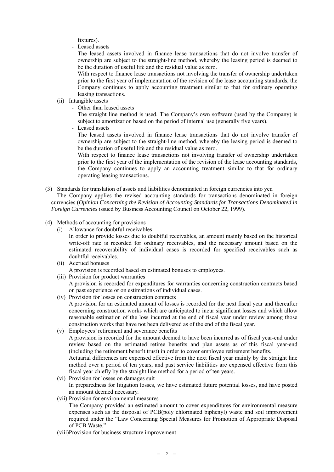fixtures).

- Leased assets

The leased assets involved in finance lease transactions that do not involve transfer of ownership are subject to the straight-line method, whereby the leasing period is deemed to be the duration of useful life and the residual value as zero.

With respect to finance lease transactions not involving the transfer of ownership undertaken prior to the first year of implementation of the revision of the lease accounting standards, the Company continues to apply accounting treatment similar to that for ordinary operating leasing transactions.

- (ii) Intangible assets
	- Other than leased assets

The straight line method is used. The Company's own software (used by the Company) is subject to amortization based on the period of internal use (generally five years).

- Leased assets

The leased assets involved in finance lease transactions that do not involve transfer of ownership are subject to the straight-line method, whereby the leasing period is deemed to be the duration of useful life and the residual value as zero.

With respect to finance lease transactions not involving transfer of ownership undertaken prior to the first year of the implementation of the revision of the lease accounting standards, the Company continues to apply an accounting treatment similar to that for ordinary operating leasing transactions.

- (3) Standards for translation of assets and liabilities denominated in foreign currencies into yen The Company applies the revised accounting standards for transactions denominated in foreign currencies (*Opinion Concerning the Revision of Accounting Standards for Transactions Denominated in Foreign Currencies* issued by Business Accounting Council on October 22, 1999).
- (4) Methods of accounting for provisions
	- (i) Allowance for doubtful receivables

In order to provide losses due to doubtful receivables, an amount mainly based on the historical write-off rate is recorded for ordinary receivables, and the necessary amount based on the estimated recoverability of individual cases is recorded for specified receivables such as doubtful receivables.

- (ii) Accrued bonuses A provision is recorded based on estimated bonuses to employees.
- (iii) Provision for product warranties

A provision is recorded for expenditures for warranties concerning construction contracts based on past experience or on estimations of individual cases.

- (iv) Provision for losses on construction contracts A provision for an estimated amount of losses is recorded for the next fiscal year and thereafter concerning construction works which are anticipated to incur significant losses and which allow reasonable estimation of the loss incurred at the end of fiscal year under review among those construction works that have not been delivered as of the end of the fiscal year.
- (v) Employees' retirement and severance benefits A provision is recorded for the amount deemed to have been incurred as of fiscal year-end under review based on the estimated retiree benefits and plan assets as of this fiscal year-end (including the retirement benefit trust) in order to cover employee retirement benefits. Actuarial differences are expensed effective from the next fiscal year mainly by the straight line method over a period of ten years, and past service liabilities are expensed effective from this fiscal year chiefly by the straight line method for a period of ten years.
- (vi) Provision for losses on damages suit In preparedness for litigation losses, we have estimated future potential losses, and have posted an amount deemed necessary.
- (vii) Provision for environmental measures The Company provided an estimated amount to cover expenditures for environmental measure expenses such as the disposal of PCB(poly chlorinated biphenyl) waste and soil improvement required under the "Law Concerning Special Measures for Promotion of Appropriate Disposal of PCB Waste."
- (viii)Provision for business structure improvement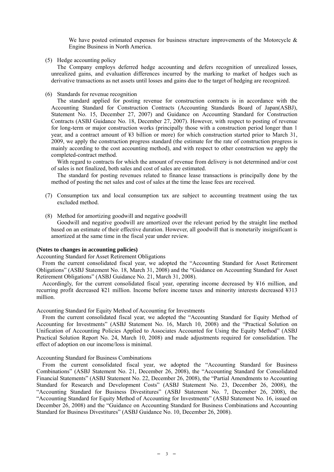We have posted estimated expenses for business structure improvements of the Motorcycle  $\&$ Engine Business in North America.

(5) Hedge accounting policy

The Company employs deferred hedge accounting and defers recognition of unrealized losses, unrealized gains, and evaluation differences incurred by the marking to market of hedges such as derivative transactions as net assets until losses and gains due to the target of hedging are recognized.

(6) Standards for revenue recognition

The standard applied for posting revenue for construction contracts is in accordance with the Accounting Standard for Construction Contracts (Accounting Standards Board of Japan(ASBJ), Statement No. 15, December 27, 2007) and Guidance on Accounting Standard for Construction Contracts (ASBJ Guidance No. 18, December 27, 2007). However, with respect to posting of revenue for long-term or major construction works (principally those with a construction period longer than 1 year, and a contract amount of ¥3 billion or more) for which construction started prior to March 31, 2009, we apply the construction progress standard (the estimate for the rate of construction progress is mainly according to the cost accounting method), and with respect to other construction we apply the completed-contract method.

With regard to contracts for which the amount of revenue from delivery is not determined and/or cost of sales is not finalized, both sales and cost of sales are estimated.

The standard for posting revenues related to finance lease transactions is principally done by the method of posting the net sales and cost of sales at the time the lease fees are received.

- (7) Consumption tax and local consumption tax are subject to accounting treatment using the tax excluded method.
- (8) Method for amortizing goodwill and negative goodwill

Goodwill and negative goodwill are amortized over the relevant period by the straight line method based on an estimate of their effective duration. However, all goodwill that is monetarily insignificant is amortized at the same time in the fiscal year under review.

#### **(Notes to changes in accounting policies)**

Accounting Standard for Asset Retirement Obligations

From the current consolidated fiscal year, we adopted the "Accounting Standard for Asset Retirement Obligations" (ASBJ Statement No. 18, March 31, 2008) and the "Guidance on Accounting Standard for Asset Retirement Obligations" (ASBJ Guidance No. 21, March 31, 2008).

Accordingly, for the current consolidated fiscal year, operating income decreased by ¥16 million, and recurring profit decreased ¥21 million. Income before income taxes and minority interests decreased ¥313 million.

Accounting Standard for Equity Method of Accounting for Investments

From the current consolidated fiscal year, we adopted the "Accounting Standard for Equity Method of Accounting for Investments" (ASBJ Statement No. 16, March 10, 2008) and the "Practical Solution on Unification of Accounting Policies Applied to Associates Accounted for Using the Equity Method" (ASBJ Practical Solution Report No. 24, March 10, 2008) and made adjustments required for consolidation. The effect of adoption on our income/loss is minimal.

#### Accounting Standard for Business Combinations

From the current consolidated fiscal year, we adopted the "Accounting Standard for Business Combinations" (ASBJ Statement No. 21, December 26, 2008), the "Accounting Standard for Consolidated Financial Statements" (ASBJ Statement No. 22, December 26, 2008), the "Partial Amendments to Accounting Standard for Research and Development Costs" (ASBJ Statement No. 23, December 26, 2008), the "Accounting Standard for Business Divestitures" (ASBJ Statement No. 7, December 26, 2008), the "Accounting Standard for Equity Method of Accounting for Investments" (ASBJ Statement No. 16, issued on December 26, 2008) and the "Guidance on Accounting Standard for Business Combinations and Accounting Standard for Business Divestitures" (ASBJ Guidance No. 10, December 26, 2008).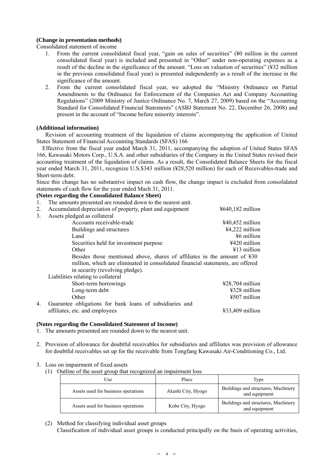# **(Change in presentation methods)**

Consolidated statement of income

- 1. From the current consolidated fiscal year, "gain on sales of securities" (¥0 million in the current consolidated fiscal year) is included and presented in "Other" under non-operating expenses as a result of the decline in the significance of the amount. "Loss on valuation of securities" (¥32 million in the previous consolidated fiscal year) is presented independently as a result of the increase in the significance of the amount.
- 2. From the current consolidated fiscal year, we adopted the "Ministry Ordinance on Partial Amendments to the Ordinance for Enforcement of the Companies Act and Company Accounting Regulations" (2009 Ministry of Justice Ordinance No. 7, March 27, 2009) based on the "Accounting Standard for Consolidated Financial Statements" (ASBJ Statement No. 22, December 26, 2008) and present in the account of "Income before minority interests".

# **(Additional information)**

 Revision of accounting treatment of the liquidation of claims accompanying the application of United States Statement of Financial Accounting Standards (SFAS) 166

Effective from the fiscal year ended March 31, 2011, accompanying the adoption of United States SFAS 166, Kawasaki Motors Corp., U.S.A. and other subsidiaries of the Company in the United States revised their accounting treatment of the liquidation of claims. As a result, the Consolidated Balance Sheets for the fiscal year ended March 31, 2011, recognize U.S.\$343 million (¥28,520 million) for each of Receivables-trade and Short-term debt.

Since this change has no substantive impact on cash flow, the change impact is excluded from consolidated statements of cash flow for the year ended Mach 31, 2011.

# **(Notes regarding the Consolidated Balance Sheet)**

- 1. The amounts presented are rounded down to the nearest unit.
- 2. Accumulated depreciation of property, plant and equipment  $\frac{4640,182 \text{ million}}{460}$ 3. Assets pledged as collateral Accounts receivable-trade  $\frac{440.452 \text{ million}}{4}$ Buildings and structures  $\frac{$4,222 \text{ million}}{46 \text{ million}}$ Land  $\frac{1}{2}$  Land  $\frac{1}{2}$  Land  $\frac{1}{2}$  Land  $\frac{1}{2}$  Land  $\frac{1}{2}$  Land  $\frac{1}{2}$  Land  $\frac{1}{2}$  Land  $\frac{1}{2}$  Land  $\frac{1}{2}$  Land  $\frac{1}{2}$  Land  $\frac{1}{2}$  Land  $\frac{1}{2}$  Land  $\frac{1}{2}$  Land  $\frac{1}{2}$  Land  $\frac{1}{2$ Securities held for investment purpose  $\frac{4420 \text{ million}}{2420 \text{ million}}$ Other  $\frac{1}{4}$  million Besides those mentioned above, shares of affiliates in the amount of ¥30 million, which are eliminated in consolidated financial statements, are offered in security (revolving pledge). Liabilities relating to collateral Short-term borrowings  $\frac{$28,704 \text{ million}}{228,704 \text{ million}}$ Long-term debt  $\frac{4328 \text{ million}}{4328 \text{ million}}$ Other  $\frac{4507 \text{ million}}{2507 \text{ million}}$ 4. Guarantee obligations for bank loans of subsidiaries and affiliates, etc. and employees ¥33,409 million

# **(Notes regarding the Consolidated Statement of Income)**

- 1. The amounts presented are rounded down to the nearest unit.
- 2. Provision of allowance for doubtful receivables for subsidiaries and affiliates was provision of allowance for doubtful receivables set up for the receivable from Tongfang Kawasaki Air-Conditioning Co., Ltd.
- 3. Loss on impairment of fixed assets
	- (1) Outline of the asset group that recognized an impairment loss

| Use                                 | Place              | Type                                                 |  |  |
|-------------------------------------|--------------------|------------------------------------------------------|--|--|
| Assets used for business operations | Akashi City, Hyogo | Buildings and structures, Machinery<br>and equipment |  |  |
| Assets used for business operations | Kobe City, Hyogo   | Buildings and structures, Machinery<br>and equipment |  |  |

(2) Method for classifying individual asset groups

Classification of individual asset groups is conducted principally on the basis of operating activities,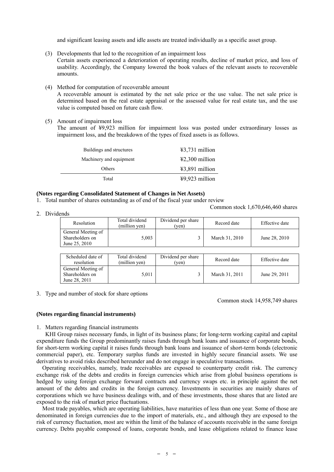and significant leasing assets and idle assets are treated individually as a specific asset group.

- (3) Developments that led to the recognition of an impairment loss Certain assets experienced a deterioration of operating results, decline of market price, and loss of usability. Accordingly, the Company lowered the book values of the relevant assets to recoverable amounts.
- (4) Method for computation of recoverable amount

A recoverable amount is estimated by the net sale price or the use value. The net sale price is determined based on the real estate appraisal or the assessed value for real estate tax, and the use value is computed based on future cash flow.

(5) Amount of impairment loss

The amount of ¥9,923 million for impairment loss was posted under extraordinary losses as impairment loss, and the breakdown of the types of fixed assets is as follows.

| Buildings and structures | $43,731$ million |
|--------------------------|------------------|
| Machinery and equipment  | $42,300$ million |
| Others                   | $43,891$ million |
| Total                    | $49,923$ million |

#### **(Notes regarding Consolidated Statement of Changes in Net Assets)**

- 1. Total number of shares outstanding as of end of the fiscal year under review
- 2. Dividends

Common stock 1,670,646,460 shares

| Resolution                                             | Total dividend<br>(million yen) | Dividend per share<br>(ven) | Record date    | Effective date |
|--------------------------------------------------------|---------------------------------|-----------------------------|----------------|----------------|
| General Meeting of<br>Shareholders on<br>June 25, 2010 | 5,003                           |                             | March 31, 2010 | June 28, 2010  |
|                                                        |                                 |                             |                |                |
| 0.1.111.11                                             | $-1.75$ $-1.75$ $-1.75$ $-1.75$ |                             |                |                |

| Scheduled date of<br>resolution                        | Total dividend<br>(million yen) | Dividend per share<br>'ven) | Record date    | Effective date |
|--------------------------------------------------------|---------------------------------|-----------------------------|----------------|----------------|
| General Meeting of<br>Shareholders on<br>June 28, 2011 | 5.011                           |                             | March 31, 2011 | June 29, 2011  |

3. Type and number of stock for share options

Common stock 14,958,749 shares

#### **(Notes regarding financial instruments)**

1. Matters regarding financial instruments

KHI Group raises necessary funds, in light of its business plans; for long-term working capital and capital expenditure funds the Group predominantly raises funds through bank loans and issuance of corporate bonds, for short-term working capital it raises funds through bank loans and issuance of short-term bonds (electronic commercial paper), etc. Temporary surplus funds are invested in highly secure financial assets. We use derivatives to avoid risks described hereunder and do not engage in speculative transactions.

Operating receivables, namely, trade receivables are exposed to counterparty credit risk. The currency exchange risk of the debts and credits in foreign currencies which arise from global business operations is hedged by using foreign exchange forward contracts and currency swaps etc. in principle against the net amount of the debts and credits in the foreign currency. Investments in securities are mainly shares of corporations which we have business dealings with, and of these investments, those shares that are listed are exposed to the risk of market price fluctuations.

Most trade payables, which are operating liabilities, have maturities of less than one year. Some of those are denominated in foreign currencies due to the import of materials, etc., and although they are exposed to the risk of currency fluctuation, most are within the limit of the balance of accounts receivable in the same foreign currency. Debts payable composed of loans, corporate bonds, and lease obligations related to finance lease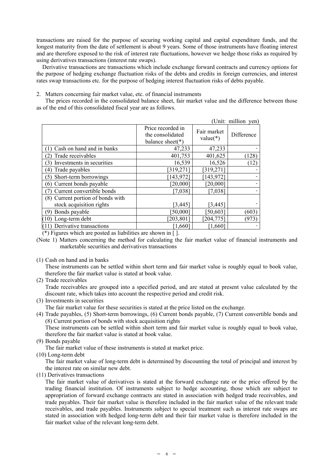transactions are raised for the purpose of securing working capital and capital expenditure funds, and the longest maturity from the date of settlement is about 9 years. Some of those instruments have floating interest and are therefore exposed to the risk of interest rate fluctuations, however we hedge those risks as required by using derivatives transactions (interest rate swaps).

Derivative transactions are transactions which include exchange forward contracts and currency options for the purpose of hedging exchange fluctuation risks of the debts and credits in foreign currencies, and interest rates swap transactions etc. for the purpose of hedging interest fluctuation risks of debts payable.

## 2. Matters concerning fair market value, etc. of financial instruments

The prices recorded in the consolidated balance sheet, fair market value and the difference between those as of the end of this consolidated fiscal year are as follows.

|                                             |                                                               |                           | (Unit: million yen) |
|---------------------------------------------|---------------------------------------------------------------|---------------------------|---------------------|
|                                             | Price recorded in<br>the consolidated<br>balance sheet( $*$ ) | Fair market<br>$value(*)$ | Difference          |
| Cash on hand and in banks                   | 47,233                                                        | 47,233                    |                     |
| Trade receivables<br>$\mathbf{2}$           | 401,753                                                       | 401,625                   | (128)               |
| Investments in securities<br>$\mathfrak{Z}$ | 16,539                                                        | 16,526                    | (12)                |
| Trade payables<br>$\left(4\right)$          | [319, 271]                                                    | [319, 271]                |                     |
| Short-term borrowings<br>5)                 | [143, 972]                                                    | [143, 972]                |                     |
| Current bonds payable<br>(6)                | [20,000]                                                      | [20,000]                  |                     |
| Current convertible bonds                   | [7,038]                                                       | [7,038]                   |                     |
| (8) Current portion of bonds with           |                                                               |                           |                     |
| stock acquisition rights                    | [3, 445]                                                      | [3, 445]                  |                     |
| Bonds payable<br><b>g</b>                   | [50,000]                                                      | [50, 603]                 | (603)               |
| $(10)$ Long-term debt                       | [203, 801]                                                    | [204, 775]                | (973)               |
| (11) Derivative transactions                | 1,660                                                         | 1,660                     |                     |

(\*) Figures which are posted as liabilities are shown in [ ].

- (Note 1) Matters concerning the method for calculating the fair market value of financial instruments and marketable securities and derivatives transactions
- (1) Cash on hand and in banks

These instruments can be settled within short term and fair market value is roughly equal to book value, therefore the fair market value is stated at book value.

(2) Trade receivables

Trade receivables are grouped into a specified period, and are stated at present value calculated by the discount rate, which takes into account the respective period and credit risk.

(3) Investments in securities

The fair market value for these securities is stated at the price listed on the exchange.

(4) Trade payables, (5) Short-term borrowings, (6) Current bonds payable, (7) Current convertible bonds and (8) Current portion of bonds with stock acquisition rights

These instruments can be settled within short term and fair market value is roughly equal to book value, therefore the fair market value is stated at book value.

(9) Bonds payable

The fair market value of these instruments is stated at market price.

(10) Long-term debt

The fair market value of long-term debt is determined by discounting the total of principal and interest by the interest rate on similar new debt.

(11) Derivatives transactions

The fair market value of derivatives is stated at the forward exchange rate or the price offered by the trading financial institution. Of instruments subject to hedge accounting, those which are subject to appropriation of forward exchange contracts are stated in association with hedged trade receivables, and trade payables. Their fair market value is therefore included in the fair market value of the relevant trade receivables, and trade payables. Instruments subject to special treatment such as interest rate swaps are stated in association with hedged long-term debt and their fair market value is therefore included in the fair market value of the relevant long-term debt.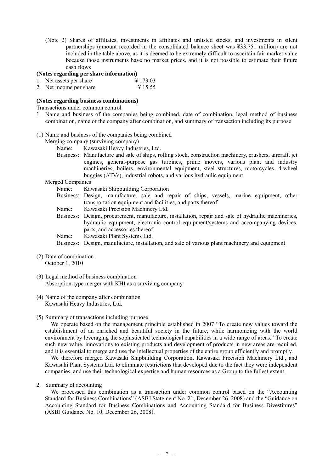(Note 2) Shares of affiliates, investments in affiliates and unlisted stocks, and investments in silent partnerships (amount recorded in the consolidated balance sheet was ¥33,751 million) are not included in the table above, as it is deemed to be extremely difficult to ascertain fair market value because those instruments have no market prices, and it is not possible to estimate their future cash flows

#### **(Notes regarding per share information)**

- 1. Net assets per share  $\frac{4}{173.03}$
- 2. Net income per share  $\frac{4}{15.55}$

# **(Notes regarding business combinations)**

Transactions under common control

- 1. Name and business of the companies being combined, date of combination, legal method of business combination, name of the company after combination, and summary of transaction including its purpose
- (1) Name and business of the companies being combined

Merging company (surviving company)

- Name: Kawasaki Heavy Industries, Ltd.
- Business: Manufacture and sale of ships, rolling stock, construction machinery, crushers, aircraft, jet engines, general-purpose gas turbines, prime movers, various plant and industry machineries, boilers, environmental equipment, steel structures, motorcycles, 4-wheel buggies (ATVs), industrial robots, and various hydraulic equipment

#### Merged Companies

| Kawasaki Shipbuilding Corporation                                                                   |
|-----------------------------------------------------------------------------------------------------|
| Business: Design, manufacture, sale and repair of ships, vessels, marine equipment, other           |
| transportation equipment and facilities, and parts thereof                                          |
| Kawasaki Precision Machinery Ltd.                                                                   |
| Business: Design, procurement, manufacture, installation, repair and sale of hydraulic machineries, |
| hydraulic equipment, electronic control equipment/systems and accompanying devices,                 |
| parts, and accessories thereof                                                                      |
| Kawasaki Plant Systems Ltd.                                                                         |
| Business: Design, manufacture, installation, and sale of various plant machinery and equipment      |
|                                                                                                     |

- (2) Date of combination October 1, 2010
- (3) Legal method of business combination Absorption-type merger with KHI as a surviving company
- (4) Name of the company after combination Kawasaki Heavy Industries, Ltd.

# (5) Summary of transactions including purpose

We operate based on the management principle established in 2007 "To create new values toward the establishment of an enriched and beautiful society in the future, while harmonizing with the world environment by leveraging the sophisticated technological capabilities in a wide range of areas." To create such new value, innovations to existing products and development of products in new areas are required, and it is essential to merge and use the intellectual properties of the entire group efficiently and promptly.

We therefore merged Kawasaki Shipbuilding Corporation, Kawasaki Precision Machinery Ltd., and Kawasaki Plant Systems Ltd. to eliminate restrictions that developed due to the fact they were independent companies, and use their technological expertise and human resources as a Group to the fullest extent.

2. Summary of accounting

We processed this combination as a transaction under common control based on the "Accounting Standard for Business Combinations" (ASBJ Statement No. 21, December 26, 2008) and the "Guidance on Accounting Standard for Business Combinations and Accounting Standard for Business Divestitures" (ASBJ Guidance No. 10, December 26, 2008).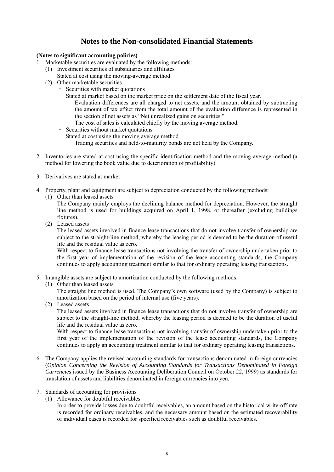# **Notes to the Non-consolidated Financial Statements**

# **(Notes to significant accounting policies)**

- 1. Marketable securities are evaluated by the following methods:
	- (1) Investment securities of subsidiaries and affiliates
		- Stated at cost using the moving-average method
	- (2) Other marketable securities
		- Securities with market quotations
			- Stated at market based on the market price on the settlement date of the fiscal year.

Evaluation differences are all charged to net assets, and the amount obtained by subtracting the amount of tax effect from the total amount of the evaluation difference is represented in the section of net assets as "Net unrealized gains on securities."

- The cost of sales is calculated chiefly by the moving average method.
- ・ Securities without market quotations
	- Stated at cost using the moving average method

Trading securities and held-to-maturity bonds are not held by the Company.

- 2. Inventories are stated at cost using the specific identification method and the moving-average method (a method for lowering the book value due to deterioration of profitability)
- 3. Derivatives are stated at market
- 4. Property, plant and equipment are subject to depreciation conducted by the following methods:
	- (1) Other than leased assets

The Company mainly employs the declining balance method for depreciation. However, the straight line method is used for buildings acquired on April 1, 1998, or thereafter (excluding buildings fixtures).

(2) Leased assets

The leased assets involved in finance lease transactions that do not involve transfer of ownership are subject to the straight-line method, whereby the leasing period is deemed to be the duration of useful life and the residual value as zero.

With respect to finance lease transactions not involving the transfer of ownership undertaken prior to the first year of implementation of the revision of the lease accounting standards, the Company continues to apply accounting treatment similar to that for ordinary operating leasing transactions.

- 5. Intangible assets are subject to amortization conducted by the following methods:
	- (1) Other than leased assets

The straight line method is used. The Company's own software (used by the Company) is subject to amortization based on the period of internal use (five years).

(2) Leased assets

The leased assets involved in finance lease transactions that do not involve transfer of ownership are subject to the straight-line method, whereby the leasing period is deemed to be the duration of useful life and the residual value as zero.

With respect to finance lease transactions not involving transfer of ownership undertaken prior to the first year of the implementation of the revision of the lease accounting standards, the Company continues to apply an accounting treatment similar to that for ordinary operating leasing transactions.

- 6. The Company applies the revised accounting standards for transactions denominated in foreign currencies (*Opinion Concerning the Revision of Accounting Standards for Transactions Denominated in Foreign Currencies* issued by the Business Accounting Deliberation Council on October 22, 1999) as standards for translation of assets and liabilities denominated in foreign currencies into yen.
- 7. Standards of accounting for provisions
	- (1) Allowance for doubtful receivables
		- In order to provide losses due to doubtful receivables, an amount based on the historical write-off rate is recorded for ordinary receivables, and the necessary amount based on the estimated recoverability of individual cases is recorded for specified receivables such as doubtful receivables.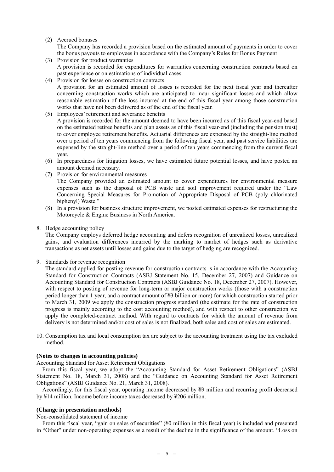# (2) Accrued bonuses

The Company has recorded a provision based on the estimated amount of payments in order to cover the bonus payouts to employees in accordance with the Company's Rules for Bonus Payment

- (3) Provision for product warranties A provision is recorded for expenditures for warranties concerning construction contracts based on past experience or on estimations of individual cases.
- (4) Provision for losses on construction contracts A provision for an estimated amount of losses is recorded for the next fiscal year and thereafter concerning construction works which are anticipated to incur significant losses and which allow reasonable estimation of the loss incurred at the end of this fiscal year among those construction works that have not been delivered as of the end of the fiscal year.
- (5) Employees' retirement and severance benefits A provision is recorded for the amount deemed to have been incurred as of this fiscal year-end based on the estimated retiree benefits and plan assets as of this fiscal year-end (including the pension trust) to cover employee retirement benefits. Actuarial differences are expensed by the straight-line method over a period of ten years commencing from the following fiscal year, and past service liabilities are expensed by the straight-line method over a period of ten years commencing from the current fiscal year.
- (6) In preparedness for litigation losses, we have estimated future potential losses, and have posted an amount deemed necessary.
- (7) Provision for environmental measures The Company provided an estimated amount to cover expenditures for environmental measure expenses such as the disposal of PCB waste and soil improvement required under the "Law Concerning Special Measures for Promotion of Appropriate Disposal of PCB (poly chlorinated biphenyl) Waste."
- (8) In a provision for business structure improvement, we posted estimated expenses for restructuring the Motorcycle & Engine Business in North America.

# 8. Hedge accounting policy

The Company employs deferred hedge accounting and defers recognition of unrealized losses, unrealized gains, and evaluation differences incurred by the marking to market of hedges such as derivative transactions as net assets until losses and gains due to the target of hedging are recognized.

9. Standards for revenue recognition

The standard applied for posting revenue for construction contracts is in accordance with the Accounting Standard for Construction Contracts (ASBJ Statement No. 15, December 27, 2007) and Guidance on Accounting Standard for Construction Contracts (ASBJ Guidance No. 18, December 27, 2007). However, with respect to posting of revenue for long-term or major construction works (those with a construction period longer than 1 year, and a contract amount of ¥3 billion or more) for which construction started prior to March 31, 2009 we apply the construction progress standard (the estimate for the rate of construction progress is mainly according to the cost accounting method), and with respect to other construction we apply the completed-contract method. With regard to contracts for which the amount of revenue from delivery is not determined and/or cost of sales is not finalized, both sales and cost of sales are estimated.

10. Consumption tax and local consumption tax are subject to the accounting treatment using the tax excluded method.

# **(Notes to changes in accounting policies)**

Accounting Standard for Asset Retirement Obligations

From this fiscal year, we adopt the "Accounting Standard for Asset Retirement Obligations" (ASBJ Statement No. 18, March 31, 2008) and the "Guidance on Accounting Standard for Asset Retirement Obligations" (ASBJ Guidance No. 21, March 31, 2008).

Accordingly, for this fiscal year, operating income decreased by ¥9 million and recurring profit decreased by ¥14 million. Income before income taxes decreased by ¥206 million.

#### **(Change in presentation methods)**

Non-consolidated statement of income

From this fiscal year, "gain on sales of securities" (¥0 million in this fiscal year) is included and presented in "Other" under non-operating expenses as a result of the decline in the significance of the amount. "Loss on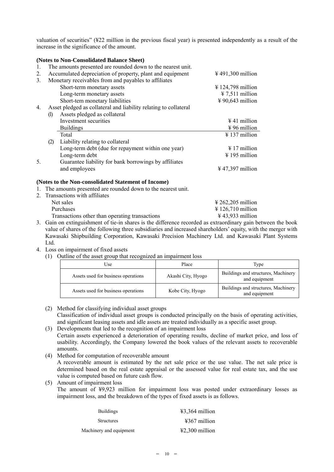valuation of securities" (¥22 million in the previous fiscal year) is presented independently as a result of the increase in the significance of the amount.

|                |                                                             | (Notes to Non-Consolidated Balance Sheet)                        |                                      |  |  |  |  |
|----------------|-------------------------------------------------------------|------------------------------------------------------------------|--------------------------------------|--|--|--|--|
| 1.             | The amounts presented are rounded down to the nearest unit. |                                                                  |                                      |  |  |  |  |
| 2.             |                                                             | Accumulated depreciation of property, plant and equipment        | $\frac{1}{2}$ 491,300 million        |  |  |  |  |
| 3 <sub>1</sub> |                                                             | Monetary receivables from and payables to affiliates             |                                      |  |  |  |  |
|                |                                                             | Short-term monetary assets                                       | $\frac{1}{2}$ 124,798 million        |  |  |  |  |
|                |                                                             | Long-term monetary assets                                        | $\text{\textsterling} 7,511$ million |  |  |  |  |
|                |                                                             | Short-tem monetary liabilities                                   | $\frac{1}{2}$ 90,643 million         |  |  |  |  |
| 4.             |                                                             | Asset pledged as collateral and liability relating to collateral |                                      |  |  |  |  |
|                | (1)                                                         | Assets pledged as collateral                                     |                                      |  |  |  |  |
|                |                                                             | Investment securities                                            | $\frac{1}{2}$ 41 million             |  |  |  |  |
|                |                                                             | <b>Buildings</b>                                                 | $\frac{1}{2}96$ million              |  |  |  |  |
|                |                                                             | Total                                                            | $\frac{1}{2}$ 137 million            |  |  |  |  |
|                | (2)                                                         | Liability relating to collateral                                 |                                      |  |  |  |  |
|                |                                                             | Long-term debt (due for repayment within one year)               | $\frac{1}{2}$ 17 million             |  |  |  |  |
|                |                                                             | Long-term debt                                                   | $\frac{1}{2}$ 195 million            |  |  |  |  |
| 5.             |                                                             | Guarantee liability for bank borrowings by affiliates            |                                      |  |  |  |  |
|                |                                                             | and employees                                                    | $\frac{1}{2}$ 47,397 million         |  |  |  |  |
|                | (Notes to the Non-consolidated Statement of Income)         |                                                                  |                                      |  |  |  |  |
|                |                                                             | The amounts presented are rounded down to the nearest unit.      |                                      |  |  |  |  |
|                |                                                             | 2. Transactions with affiliates                                  |                                      |  |  |  |  |

| . – Fransactions with amnates                                                                                 |                                                                                                                 |
|---------------------------------------------------------------------------------------------------------------|-----------------------------------------------------------------------------------------------------------------|
| Net sales                                                                                                     | $\text{\textsterling} 262,205$ million                                                                          |
| <b>Purchases</b>                                                                                              | $\text{\textsterling} 126,710$ million                                                                          |
| Transactions other than operating transactions                                                                | $\frac{1}{2}$ 43,933 million                                                                                    |
| restaura de la construcción de la construcción de la construcción de la construcción de la construcción de la | the contract of the contract of the contract of the contract of the contract of the contract of the contract of |

- 3. Gain on extinguishment of tie-in shares is the difference recorded as extraordinary gain between the book value of shares of the following three subsidiaries and increased shareholders' equity, with the merger with Kawasaki Shipbuilding Corporation, Kawasaki Precision Machinery Ltd. and Kawasaki Plant Systems Ltd.
- 4. Loss on impairment of fixed assets
	- (1) Outline of the asset group that recognized an impairment loss

| Use                                 | Place              | Type                                                 |  |
|-------------------------------------|--------------------|------------------------------------------------------|--|
| Assets used for business operations | Akashi City, Hyogo | Buildings and structures, Machinery<br>and equipment |  |
| Assets used for business operations | Kobe City, Hyogo   | Buildings and structures, Machinery<br>and equipment |  |

- (2) Method for classifying individual asset groups Classification of individual asset groups is conducted principally on the basis of operating activities, and significant leasing assets and idle assets are treated individually as a specific asset group.
- (3) Developments that led to the recognition of an impairment loss Certain assets experienced a deterioration of operating results, decline of market price, and loss of usability. Accordingly, the Company lowered the book values of the relevant assets to recoverable amounts.
- (4) Method for computation of recoverable amount A recoverable amount is estimated by the net sale price or the use value. The net sale price is determined based on the real estate appraisal or the assessed value for real estate tax, and the use value is computed based on future cash flow.
- (5) Amount of impairment loss The amount of ¥9,923 million for impairment loss was posted under extraordinary losses as impairment loss, and the breakdown of the types of fixed assets is as follows.

| <b>Buildings</b>        | $43,364$ million         |
|-------------------------|--------------------------|
| <b>Structures</b>       | $4367$ million           |
| Machinery and equipment | $\text{\#2,300}$ million |